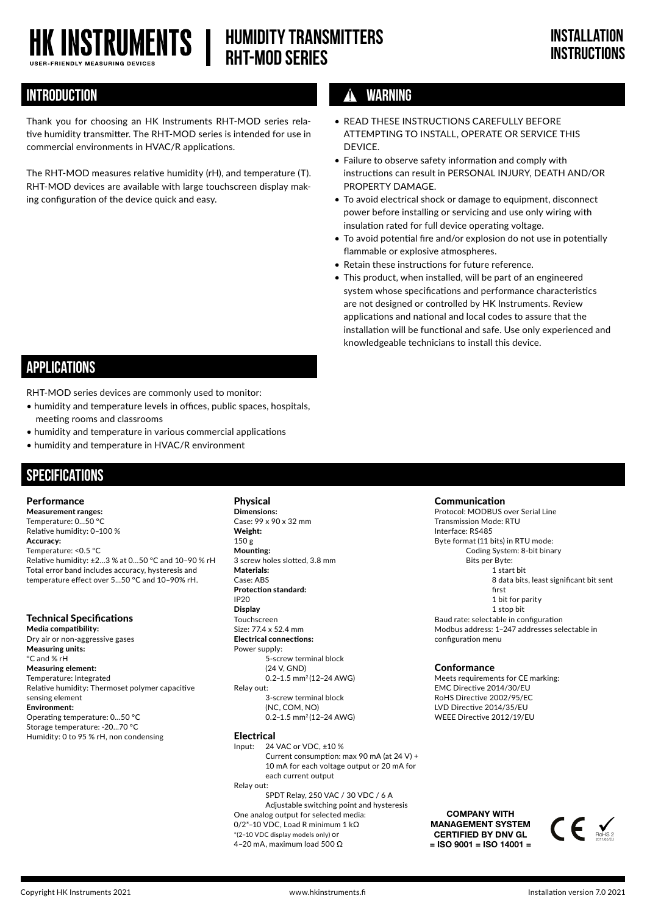# **HK INSTRUMENTS |**

**HUMIDITY TRANSMITTERS RHT-MOD Series**

## **INTRODUCTION WARNING**

Thank you for choosing an HK Instruments RHT-MOD series relative humidity transmitter. The RHT-MOD series is intended for use in commercial environments in HVAC/R applications.

The RHT-MOD measures relative humidity (rH), and temperature (T). RHT-MOD devices are available with large touchscreen display making configuration of the device quick and easy.

- READ THESE INSTRUCTIONS CAREFULLY BEFORE ATTEMPTING TO INSTALL, OPERATE OR SERVICE THIS **DEVICE**
- Failure to observe safety information and comply with instructions can result in PERSONAL INJURY, DEATH AND/OR PROPERTY DAMAGE.
- To avoid electrical shock or damage to equipment, disconnect power before installing or servicing and use only wiring with insulation rated for full device operating voltage.
- To avoid potential fire and/or explosion do not use in potentially flammable or explosive atmospheres.
- Retain these instructions for future reference.
- This product, when installed, will be part of an engineered system whose specifications and performance characteristics are not designed or controlled by HK Instruments. Review applications and national and local codes to assure that the installation will be functional and safe. Use only experienced and knowledgeable technicians to install this device.

## **APPLICATIONS**

RHT-MOD series devices are commonly used to monitor:

- humidity and temperature levels in offices, public spaces, hospitals, meeting rooms and classrooms
- humidity and temperature in various commercial applications
- humidity and temperature in HVAC/R environment

## **SPECIFICATIONS**

#### Performance

Measurement ranges: Temperature: 0...50 °C Relative humidity: 0–100 % Accuracy: Temperature: <0.5 ºC Relative humidity: ±2...3 % at 0...50 °C and 10–90 % rH Total error band includes accuracy, hysteresis and temperature effect over 5...50 °C and 10–90% rH.

### Technical Specifications

Media compatibility: Dry air or non-aggressive gases Measuring units: °C and % rH Measuring element: Temperature: Integrated Relative humidity: Thermoset polymer capacitive sensing element Environment: Operating temperature: 0...50 °C Storage temperature: -20...70 °C Humidity: 0 to 95 % rH, non condensing

Physical Dimensions: Case: 99 x 90 x 32 mm Weight: 150 g Mounting: 3 screw holes slotted, 3.8 mm Materials: Case: ABS Protection standard: IP20 Display Touchscreen Size: 77.4 x 52.4 mm Electrical connections: Power supply: 5-screw terminal block (24 V, GND) 0.2–1.5 mm2 (12–24 AWG) Relay out: 3-screw terminal block (NC, COM, NO) 0.2–1.5 mm2 (12–24 AWG)

#### Electrical

Input: 24 VAC or VDC, ±10 % Current consumption: max 90 mA (at 24 V) + 10 mA for each voltage output or 20 mA for each current output Relay out:

 SPDT Relay, 250 VAC / 30 VDC / 6 A Adjustable switching point and hysteresis One analog output for selected media: 0/2\*–10 VDC, Load R minimum 1 kΩ \*(2–10 VDC display models only) or 4–20 mA, maximum load 500 Ω

Communication

Protocol: MODBUS over Serial Line Transmission Mode: RTU Interface: RS485 Byte format (11 bits) in RTU mode: Coding System: 8-bit binary Bits per Byte: 1 start bit 8 data bits, least significant bit sent first 1 bit for parity 1 stop bit Baud rate: selectable in configuration Modbus address: 1−247 addresses selectable in configuration menu

#### Conformance

Meets requirements for CE marking: EMC Directive 2014/30/EU RoHS Directive 2002/95/EC LVD Directive 2014/35/EU WEEE Directive 2012/19/EU

COMPANY WITH MANAGEMENT SYSTEM CERTIFIED BY DNV GL  $=$  ISO 9001 = ISO 14001 =

RoHS 2 2011/65/EU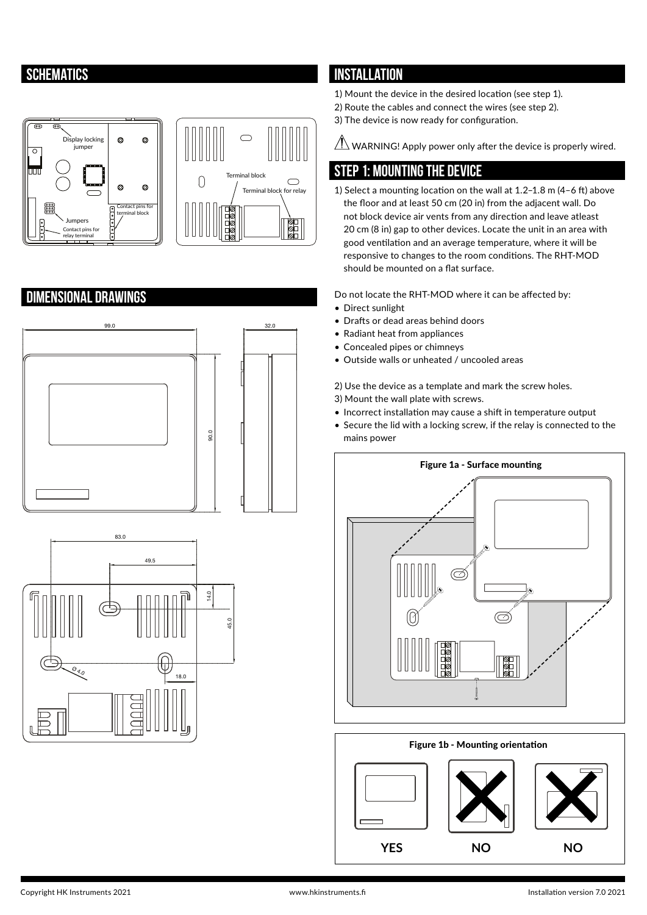## **SCHEMATICS**



## **DIMENSIONAL DRAWINGS**





## **INSTALLATION**

- 1) Mount the device in the desired location (see step 1).
- 2) Route the cables and connect the wires (see step 2).
- 3) The device is now ready for configuration.

 $\sqrt{ }$ WARNING! Apply power only after the device is properly wired.

## **STEP 1: MOUNTING THE DEVICE**

1) Select a mounting location on the wall at 1.2–1.8 m (4–6 ft) above the floor and at least 50 cm (20 in) from the adjacent wall. Do not block device air vents from any direction and leave atleast 20 cm (8 in) gap to other devices. Locate the unit in an area with good ventilation and an average temperature, where it will be responsive to changes to the room conditions. The RHT-MOD should be mounted on a flat surface.

Do not locate the RHT-MOD where it can be affected by:

- Direct sunlight
- Drafts or dead areas behind doors
- Radiant heat from appliances
- Concealed pipes or chimneys
- Outside walls or unheated / uncooled areas
- 2) Use the device as a template and mark the screw holes.
- 3) Mount the wall plate with screws.
- Incorrect installation may cause a shift in temperature output
- Secure the lid with a locking screw, if the relay is connected to the mains power



### Figure 1b - Mounting orientation

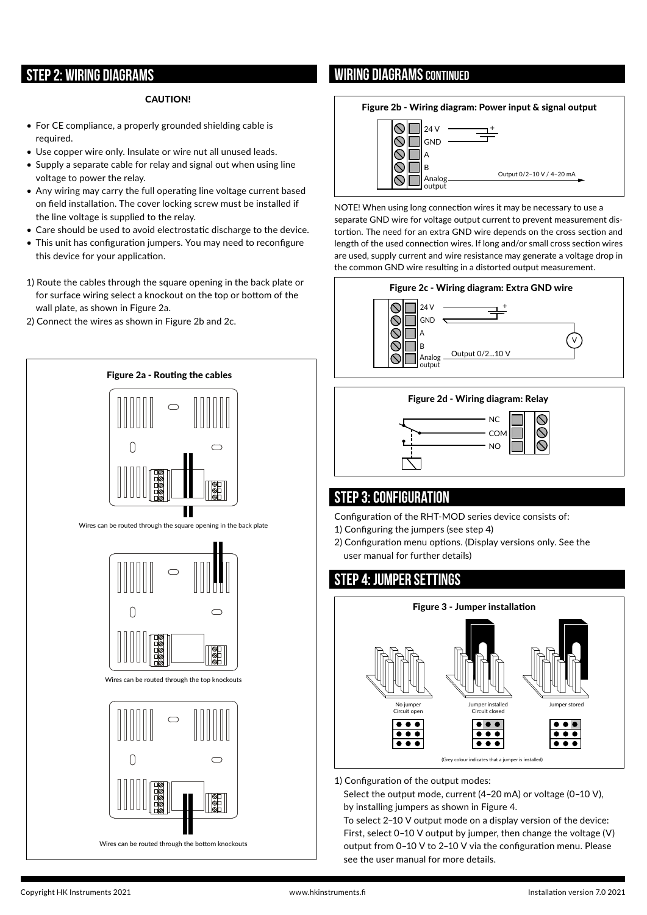## **STEP 2: WIRING DIAGRAMS**

#### CAUTION!

- For CE compliance, a properly grounded shielding cable is required.
- Use copper wire only. Insulate or wire nut all unused leads.
- Supply a separate cable for relay and signal out when using line voltage to power the relay.
- Any wiring may carry the full operating line voltage current based on field installation. The cover locking screw must be installed if the line voltage is supplied to the relay.
- Care should be used to avoid electrostatic discharge to the device.
- This unit has configuration jumpers. You may need to reconfigure this device for your application.
- 1) Route the cables through the square opening in the back plate or for surface wiring select a knockout on the top or bottom of the wall plate, as shown in Figure 2a.
- 2) Connect the wires as shown in Figure 2b and 2c.



## **WIRING DIAGRAMS CONTINUED**

#### Figure 2b - Wiring diagram: Power input & signal output



NOTE! When using long connection wires it may be necessary to use a separate GND wire for voltage output current to prevent measurement distortion. The need for an extra GND wire depends on the cross section and length of the used connection wires. If long and/or small cross section wires are used, supply current and wire resistance may generate a voltage drop in the common GND wire resulting in a distorted output measurement.







## **STEP 3: CONFIGURATION**

Configuration of the RHT-MOD series device consists of:

- 1) Configuring the jumpers (see step 4)
- 2) Configuration menu options. (Display versions only. See the user manual for further details)

## **STEP 4: Jumper settings**



1) Configuration of the output modes:

Select the output mode, current (4–20 mA) or voltage (0–10 V), by installing jumpers as shown in Figure 4.

To select 2–10 V output mode on a display version of the device: First, select 0–10 V output by jumper, then change the voltage (V) output from 0–10 V to 2–10 V via the configuration menu. Please see the user manual for more details.